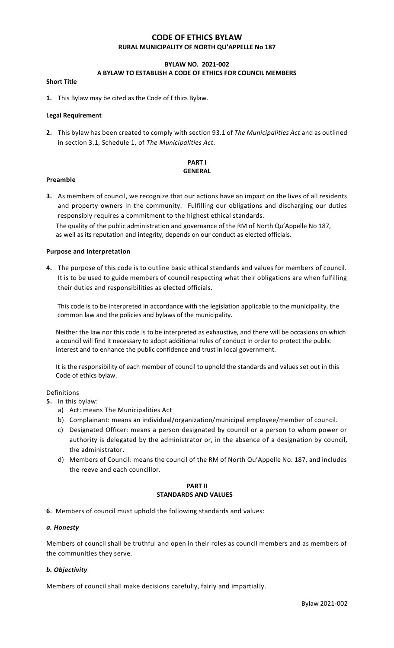# **CODE OF ETHICS BYLAW RURAL MUNICIPALITY OF NORTH QU'APPELLE No 187**

# **BYLAW NO. 2021-002**

# **A BYLAW TO ESTABLISH A CODE OF ETHICS FOR COUNCIL MEMBERS**

#### **Short Title**

**1.** This Bylaw may be cited as the Code of Ethics Bylaw.

#### **Legal Requirement**

**2.** This bylaw has been created to comply with section 93.1 of *The Municipalities Act* and as outlined in section 3.1, Schedule 1, of *The Municipalities Act*.

# **PART I GENERAL**

#### **Preamble**

**3.** As members of council, we recognize that our actions have an impact on the lives of all residents and property owners in the community. Fulfilling our obligations and discharging our duties responsibly requires a commitment to the highest ethical standards.

 The quality of the public administration and governance of the RM of North Qu'Appelle No 187, as well as its reputation and integrity, depends on our conduct as elected officials.

#### **Purpose and Interpretation**

**4.** The purpose of this code is to outline basic ethical standards and values for members of council. It is to be used to guide members of council respecting what their obligations are when fulfilling their duties and responsibilities as elected officials.

 This code is to be interpreted in accordance with the legislation applicable to the municipality, the common law and the policies and bylaws of the municipality.

 Neither the law nor this code is to be interpreted as exhaustive, and there will be occasions on which a council will find it necessary to adopt additional rules of conduct in order to protect the public interest and to enhance the public confidence and trust in local government.

 It is the responsibility of each member of council to uphold the standards and values set out in this Code of ethics bylaw.

## Definitions

- **5.** In this bylaw:
	- a) Act: means The Municipalities Act
	- b) Complainant: means an individual/organization/municipal employee/member of council.
	- c) Designated Officer: means a person designated by council or a person to whom power or authority is delegated by the administrator or, in the absence of a designation by council, the administrator.
	- d) Members of Council: means the council of the RM of North Qu'Appelle No. 187, and includes the reeve and each councillor.

# **PART II STANDARDS AND VALUES**

**6.** Members of council must uphold the following standards and values:

## *a. Honesty*

Members of council shall be truthful and open in their roles as council members and as members of the communities they serve.

## *b. Objectivity*

Members of council shall make decisions carefully, fairly and impartially.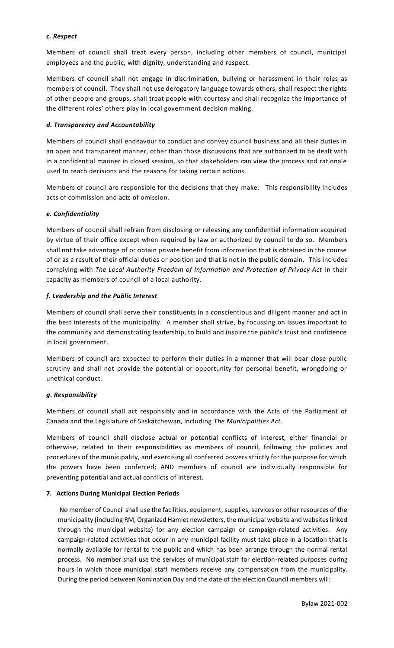# *c. Respect*

Members of council shall treat every person, including other members of council, municipal employees and the public, with dignity, understanding and respect.

Members of council shall not engage in discrimination, bullying or harassment in their roles as members of council. They shall not use derogatory language towards others, shall respect the rights of other people and groups, shall treat people with courtesy and shall recognize the importance of the different roles' others play in local government decision making.

# *d. Transparency and Accountability*

Members of council shall endeavour to conduct and convey council business and all their duties in an open and transparent manner, other than those discussions that are authorized to be dealt with in a confidential manner in closed session, so that stakeholders can view the process and rationale used to reach decisions and the reasons for taking certain actions.

Members of council are responsible for the decisions that they make. This responsibility includes acts of commission and acts of omission.

# *e. Confidentiality*

Members of council shall refrain from disclosing or releasing any confidential information acquired by virtue of their office except when required by law or authorized by council to do so. Members shall not take advantage of or obtain private benefit from information that is obtained in the course of or as a result of their official duties or position and that is not in the public domain. This includes complying with *The Local Authority Freedom of Information and Protection of Privacy Act in their* capacity as members of council of a local authority.

# *f. Leadership and the Public Interest*

Members of council shall serve their constituents in a conscientious and diligent manner and act in the best interests of the municipality. A member shall strive, by focussing on issues important to the community and demonstrating leadership, to build and inspire the public's trust and confidence in local government.

Members of council are expected to perform their duties in a manner that will bear close public scrutiny and shall not provide the potential or opportunity for personal benefit, wrongdoing or unethical conduct.

## *g. Responsibility*

Members of council shall act responsibly and in accordance with the Acts of the Parliament of Canada and the Legislature of Saskatchewan, including *The Municipalities Act*.

Members of council shall disclose actual or potential conflicts of interest, either financial or otherwise, related to their responsibilities as members of council, following the policies and procedures of the municipality, and exercising all conferred powers strictly for the purpose for which the powers have been conferred; AND members of council are individually responsible for preventing potential and actual conflicts of interest.

## **7. Actions During Municipal Election Periods**

No member of Council shall use the facilities, equipment, supplies, services or other resources of the municipality (including RM, Organized Hamlet newsletters, the municipal website and websites linked through the municipal website) for any election campaign or campaign-related activities. Any campaign-related activities that occur in any municipal facility must take place in a location that is normally available for rental to the public and which has been arrange through the normal rental process. No member shall use the services of municipal staff for election-related purposes during hours in which those municipal staff members receive any compensation from the municipality. During the period between Nomination Day and the date of the election Council members will: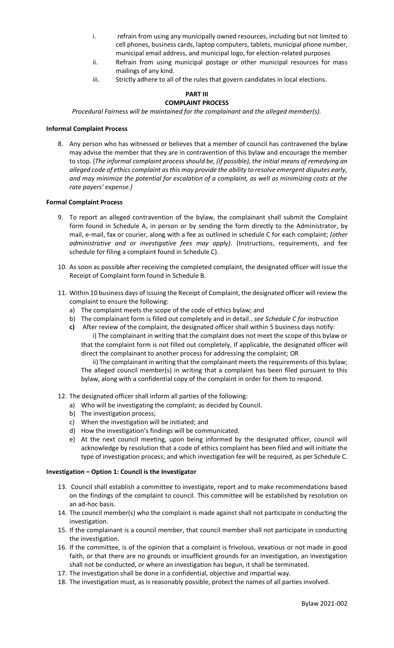- i. refrain from using any municipally owned resources, including but not limited to cell phones, business cards, laptop computers, tablets, municipal phone number, municipal email address, and municipal logo, for election-related purposes
- ii. Refrain from using municipal postage or other municipal resources for mass mailings of any kind.
- iii. Strictly adhere to all of the rules that govern candidates in local elections.

#### **PART III COMPLAINT PROCESS**

*Procedural Fairness will be maintained for the complainant and the alleged member(s).*

## **Informal Complaint Process**

8. Any person who has witnessed or believes that a member of council has contravened the bylaw may advise the member that they are in contravention of this bylaw and encourage the member to stop. {*The informal complaint process should be, (if possible), the initial means of remedying an alleged code of ethics complaint as this may provide the ability to resolve emergent disputes early, and may minimize the potential for escalation of a complaint, as well as minimizing costs at the rate payers' expense.}*

#### **Formal Complaint Process**

- 9. To report an alleged contravention of the bylaw, the complainant shall submit the Complaint form found in Schedule A, in person or by sending the form directly to the Administrator, by mail, e-mail, fax or courier, along with a fee as outlined in schedule C for each complaint; *(other administrative and or investigative fees may apply)*. (Instructions, requirements, and fee schedule for filing a complaint found in Schedule C).
- 10. As soon as possible after receiving the completed complaint, the designated officer will issue the Receipt of Complaint form found in Schedule B.
- 11. Within 10 business days of issuing the Receipt of Complaint, the designated officer will review the complaint to ensure the following:
	- a) The complaint meets the scope of the code of ethics bylaw; and
	- b) The complainant form is filled out completely and in detail., *see Schedule C for instruction*
	- **c)** After review of the complaint, the designated officer shall within 5 business days notify: i) The complainant in writing that the complaint does not meet the scope of this bylaw or that the complaint form is not filled out completely, If applicable, the designated officer will direct the complainant to another process for addressing the complaint; OR

ii) The complainant in writing that the complainant meets the requirements of this bylaw; The alleged council member(s) in writing that a complaint has been filed pursuant to this bylaw, along with a confidential copy of the complaint in order for them to respond.

- 12. The designated officer shall inform all parties of the following:
	- a) Who will be investigating the complaint; as decided by Council.
	- b) The investigation process;
	- c) When the investigation will be initiated; and
	- d) How the investigation's findings will be communicated.
	- e) At the next council meeting, upon being informed by the designated officer, council will acknowledge by resolution that a code of ethics complaint has been filed and will initiate the type of investigation process; and which investigation fee will be required, as per Schedule C.

#### **Investigation – Option 1: Council is the Investigator**

- 13. Council shall establish a committee to investigate, report and to make recommendations based on the findings of the complaint to council. This committee will be established by resolution on an ad-hoc basis.
- 14. The council member(s) who the complaint is made against shall not participate in conducting the investigation.
- 15. If the complainant is a council member, that council member shall not participate in conducting the investigation.
- 16. If the committee, is of the opinion that a complaint is frivolous, vexatious or not made in good faith, or that there are no grounds or insufficient grounds for an investigation, an investigation shall not be conducted, or where an investigation has begun, it shall be terminated.
- 17. The investigation shall be done in a confidential, objective and impartial way.
- 18. The investigation must, as is reasonably possible, protect the names of all parties involved.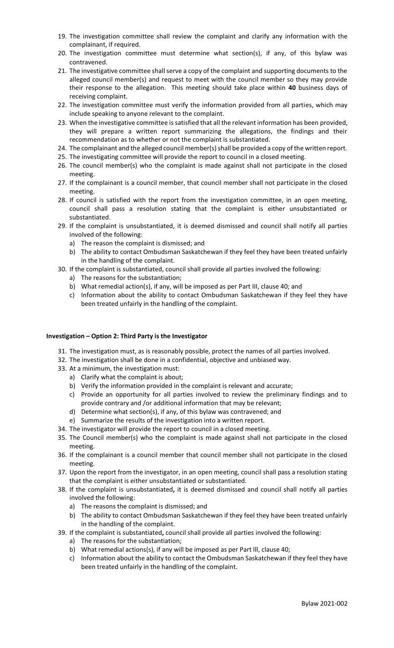- 19. The investigation committee shall review the complaint and clarify any information with the complainant, if required.
- 20. The investigation committee must determine what section(s), if any, of this bylaw was contravened.
- 21. The investigative committee shall serve a copy of the complaint and supporting documents to the alleged council member(s) and request to meet with the council member so they may provide their response to the allegation. This meeting should take place within **40** business days of receiving complaint.
- 22. The investigation committee must verify the information provided from all parties, which may include speaking to anyone relevant to the complaint.
- 23. When the investigative committee is satisfied that all the relevant information has been provided, they will prepare a written report summarizing the allegations, the findings and their recommendation as to whether or not the complaint is substantiated.
- 24. The complainant and the alleged council member(s) shall be provided a copy of the written report.
- 25. The investigating committee will provide the report to council in a closed meeting.
- 26. The council member(s) who the complaint is made against shall not participate in the closed meeting.
- 27. If the complainant is a council member, that council member shall not participate in the closed meeting.
- 28. If council is satisfied with the report from the investigation committee, in an open meeting, council shall pass a resolution stating that the complaint is either unsubstantiated or substantiated.
- 29. If the complaint is unsubstantiated, it is deemed dismissed and council shall notify all parties involved of the following:
	- a) The reason the complaint is dismissed; and
	- b) The ability to contact Ombudsman Saskatchewan if they feel they have been treated unfairly in the handling of the complaint.
- 30. If the complaint is substantiated, council shall provide all parties involved the following:
	- a) The reasons for the substantiation;
	- b) What remedial action(s), if any, will be imposed as per Part III, clause 40; and
	- c) Information about the ability to contact Ombudsman Saskatchewan if they feel they have been treated unfairly in the handling of the complaint.

## **Investigation – Option 2: Third Party is the Investigator**

- 31. The investigation must, as is reasonably possible, protect the names of all parties involved.
- 32. The investigation shall be done in a confidential, objective and unbiased way.
- 33. At a minimum, the investigation must:
	- a) Clarify what the complaint is about;
	- b) Verify the information provided in the complaint is relevant and accurate;
	- c) Provide an opportunity for all parties involved to review the preliminary findings and to provide contrary and /or additional information that may be relevant;
	- d) Determine what section(s), if any, of this bylaw was contravened; and
	- e) Summarize the results of the investigation into a written report.
- 34. The investigator will provide the report to council in a closed meeting.
- 35. The Council member(s) who the complaint is made against shall not participate in the closed meeting.
- 36. If the complainant is a council member that council member shall not participate in the closed meeting.
- 37. Upon the report from the investigator, in an open meeting, council shall pass a resolution stating that the complaint is either unsubstantiated or substantiated.
- 38. If the complaint is unsubstantiated**,** it is deemed dismissed and council shall notify all parties involved the following:
	- a) The reasons the complaint is dismissed; and
	- b) The ability to contact Ombudsman Saskatchewan if they feel they have been treated unfairly in the handling of the complaint.
- 39. If the complaint is substantiated**,** council shall provide all parties involved the following:
	- a) The reasons for the substantiation;
	- b) What remedial actions(s), if any will be imposed as per Part lll, clause 40;
	- c) Information about the ability to contact the Ombudsman Saskatchewan if they feel they have been treated unfairly in the handling of the complaint.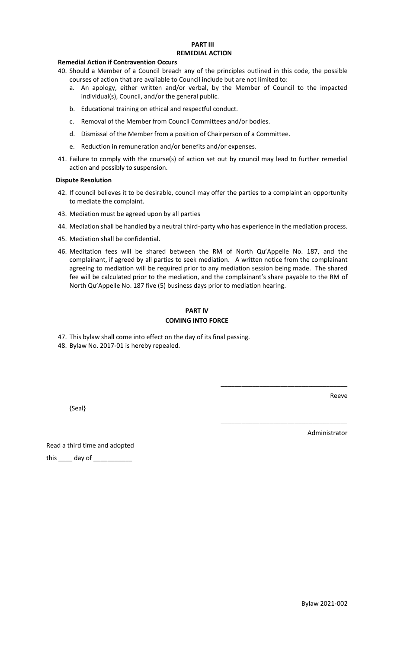#### **PART III REMEDIAL ACTION**

## **Remedial Action if Contravention Occurs**

- 40. Should a Member of a Council breach any of the principles outlined in this code, the possible courses of action that are available to Council include but are not limited to:
	- a. An apology, either written and/or verbal, by the Member of Council to the impacted individual(s), Council, and/or the general public.
	- b. Educational training on ethical and respectful conduct.
	- c. Removal of the Member from Council Committees and/or bodies.
	- d. Dismissal of the Member from a position of Chairperson of a Committee.
	- e. Reduction in remuneration and/or benefits and/or expenses.
- 41. Failure to comply with the course(s) of action set out by council may lead to further remedial action and possibly to suspension.

#### **Dispute Resolution**

- 42. If council believes it to be desirable, council may offer the parties to a complaint an opportunity to mediate the complaint.
- 43. Mediation must be agreed upon by all parties
- 44. Mediation shall be handled by a neutral third-party who has experience in the mediation process.
- 45. Mediation shall be confidential.
- 46. Meditation fees will be shared between the RM of North Qu'Appelle No. 187, and the complainant, if agreed by all parties to seek mediation. A written notice from the complainant agreeing to mediation will be required prior to any mediation session being made. The shared fee will be calculated prior to the mediation, and the complainant's share payable to the RM of North Qu'Appelle No. 187 five (5) business days prior to mediation hearing.

# **PART lV**

# **COMING INTO FORCE**

- 47. This bylaw shall come into effect on the day of its final passing.
- 48. Bylaw No. 2017-01 is hereby repealed.

{Seal}

Reeve

Administrator

\_\_\_\_\_\_\_\_\_\_\_\_\_\_\_\_\_\_\_\_\_\_\_\_\_\_\_\_\_\_\_\_\_\_\_\_

\_\_\_\_\_\_\_\_\_\_\_\_\_\_\_\_\_\_\_\_\_\_\_\_\_\_\_\_\_\_\_\_\_\_\_\_

Read a third time and adopted this \_\_\_\_\_\_ day of \_\_\_\_\_\_\_\_\_\_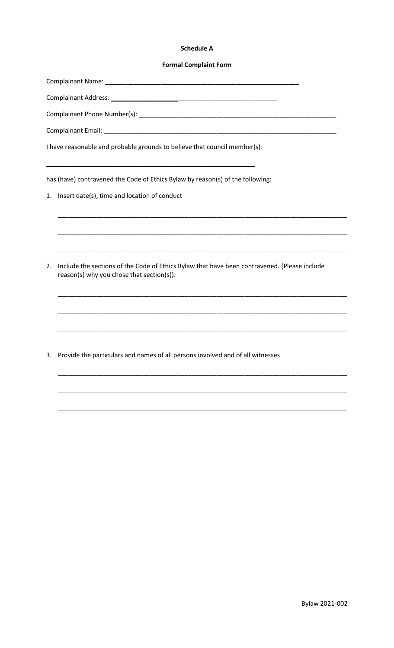#### **Schedule A**

#### **Formal Complaint Form**

Complainant Name: \_\_\_\_\_\_\_\_\_\_

Complainant Email: \_\_\_\_

I have reasonable and probable grounds to believe that council member(s):

has (have) contravened the Code of Ethics Bylaw by reason(s) of the following:

- 1. Insert date(s), time and location of conduct
- 2. Include the sections of the Code of Ethics Bylaw that have been contravened. (Please include reason(s) why you chose that section(s)).

3. Provide the particulars and names of all persons involved and of all witnesses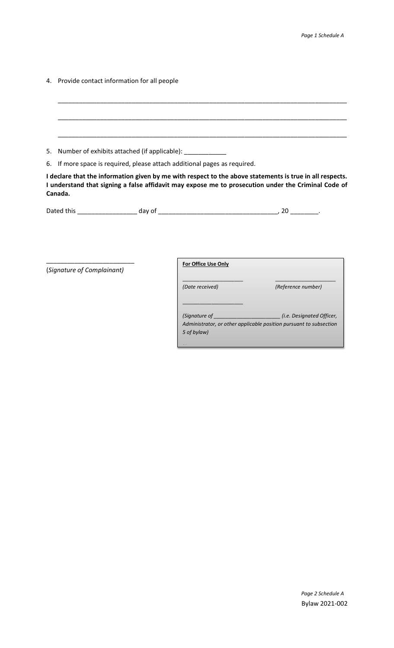4. Provide contact information for all people

\_\_\_\_\_\_\_\_\_\_\_\_\_\_\_\_\_\_\_\_\_\_\_\_\_\_\_\_\_\_\_\_\_\_\_\_\_\_\_\_\_\_\_\_\_\_\_\_\_\_\_\_\_\_\_\_\_\_\_\_\_\_\_\_\_\_\_\_\_\_\_\_\_\_\_\_\_\_\_\_\_\_ \_\_\_\_\_\_\_\_\_\_\_\_\_\_\_\_\_\_\_\_\_\_\_\_\_\_\_\_\_\_\_\_\_\_\_\_\_\_\_\_\_\_\_\_\_\_\_\_\_\_\_\_\_\_\_\_\_\_\_\_\_\_\_\_\_\_\_\_\_\_\_\_\_\_\_\_\_\_\_\_\_\_ \_\_\_\_\_\_\_\_\_\_\_\_\_\_\_\_\_\_\_\_\_\_\_\_\_\_\_\_\_\_\_\_\_\_\_\_\_\_\_\_\_\_\_\_\_\_\_\_\_\_\_\_\_\_\_\_\_\_\_\_\_\_\_\_\_\_\_\_\_\_\_\_\_\_\_\_\_\_\_\_\_\_ 5. Number of exhibits attached (if applicable): \_\_\_\_\_\_\_\_\_\_\_\_ 6. If more space is required, please attach additional pages as required.

**I declare that the information given by me with respect to the above statements is true in all respects. I understand that signing a false affidavit may expose me to prosecution under the Criminal Code of Canada.** 

| $\cdots$<br>-- | Dated this |  |  |  |
|----------------|------------|--|--|--|
|----------------|------------|--|--|--|

*No*

(*Signature of Complainant)*

\_\_\_\_\_\_\_\_\_\_\_\_\_\_\_\_\_\_\_\_\_\_\_\_\_

**For Office Use Only**

| (Date received)                                                                   | (Reference number)               |
|-----------------------------------------------------------------------------------|----------------------------------|
| (Signature of                                                                     | <i>(i.e. Designated Officer,</i> |
| Administrator, or other applicable position pursuant to subsection<br>5 of bylaw) |                                  |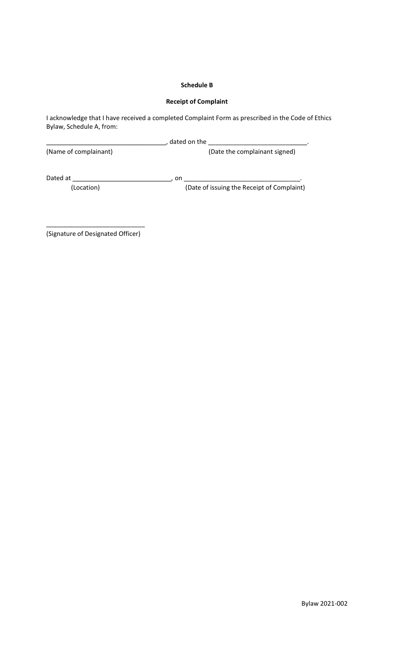# **Schedule B**

# **Receipt of Complaint**

I acknowledge that I have received a completed Complaint Form as prescribed in the Code of Ethics Bylaw, Schedule A, from:

|                       | dated on the                               |
|-----------------------|--------------------------------------------|
| (Name of complainant) | (Date the complainant signed)              |
| Dated at              | on                                         |
| (Location)            | (Date of issuing the Receipt of Complaint) |

\_\_\_\_\_\_\_\_\_\_\_\_\_\_\_\_\_\_\_\_\_\_\_\_\_\_\_\_ (Signature of Designated Officer)